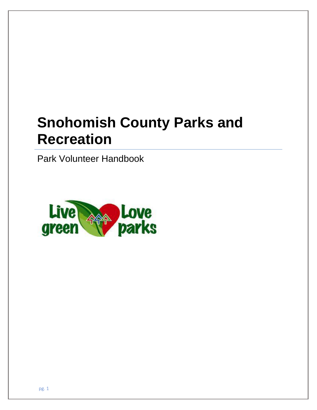# **Snohomish County Parks and Recreation**

Park Volunteer Handbook

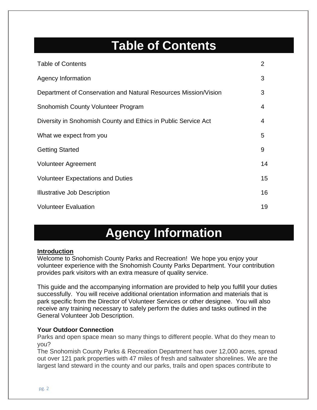## **Table of Contents**

| <b>Table of Contents</b>                                        | $\overline{2}$ |
|-----------------------------------------------------------------|----------------|
| <b>Agency Information</b>                                       | 3              |
| Department of Conservation and Natural Resources Mission/Vision | 3              |
| Snohomish County Volunteer Program                              | 4              |
| Diversity in Snohomish County and Ethics in Public Service Act  | 4              |
| What we expect from you                                         | 5              |
| <b>Getting Started</b>                                          | 9              |
| <b>Volunteer Agreement</b>                                      | 14             |
| <b>Volunteer Expectations and Duties</b>                        | 15             |
| <b>Illustrative Job Description</b>                             | 16             |
| <b>Volunteer Evaluation</b>                                     | 19             |

## **Agency Information**

#### **Introduction**

Welcome to Snohomish County Parks and Recreation! We hope you enjoy your volunteer experience with the Snohomish County Parks Department. Your contribution provides park visitors with an extra measure of quality service.

This guide and the accompanying information are provided to help you fulfill your duties successfully. You will receive additional orientation information and materials that is park specific from the Director of Volunteer Services or other designee. You will also receive any training necessary to safely perform the duties and tasks outlined in the General Volunteer Job Description.

#### **Your Outdoor Connection**

Parks and open space mean so many things to different people. What do they mean to you?

The Snohomish County Parks & Recreation Department has over 12,000 acres, spread out over 121 park properties with 47 miles of fresh and saltwater shorelines. We are the largest land steward in the county and our parks, trails and open spaces contribute to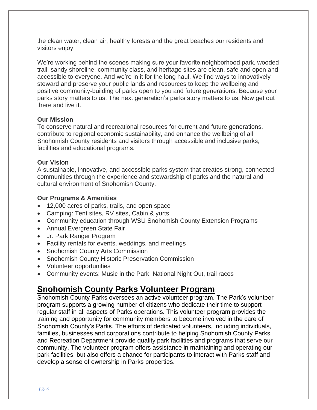the clean water, clean air, healthy forests and the great beaches our residents and visitors enjoy.

We're working behind the scenes making sure your favorite neighborhood park, wooded trail, sandy shoreline, community class, and heritage sites are clean, safe and open and accessible to everyone. And we're in it for the long haul. We find ways to innovatively steward and preserve your public lands and resources to keep the wellbeing and positive community-building of parks open to you and future generations. Because your parks story matters to us. The next generation's parks story matters to us. Now get out there and live it.

#### **Our Mission**

To conserve natural and recreational resources for current and future generations, contribute to regional economic sustainability, and enhance the wellbeing of all Snohomish County residents and visitors through accessible and inclusive parks, facilities and educational programs.

#### **Our Vision**

A sustainable, innovative, and accessible parks system that creates strong, connected communities through the experience and stewardship of parks and the natural and cultural environment of Snohomish County.

#### **Our Programs & Amenities**

- 12,000 acres of parks, trails, and open space
- Camping: Tent sites, RV sites, Cabin & yurts
- Community education through WSU Snohomish County Extension Programs
- Annual Evergreen State Fair
- Jr. Park Ranger Program
- Facility rentals for events, weddings, and meetings
- Snohomish County Arts Commission
- Snohomish County Historic Preservation Commission
- Volunteer opportunities
- Community events: Music in the Park, National Night Out, trail races

### **Snohomish County Parks Volunteer Program**

Snohomish County Parks oversees an active volunteer program. The Park's volunteer program supports a growing number of citizens who dedicate their time to support regular staff in all aspects of Parks operations. This volunteer program provides the training and opportunity for community members to become involved in the care of Snohomish County's Parks. The efforts of dedicated volunteers, including individuals, families, businesses and corporations contribute to helping Snohomish County Parks and Recreation Department provide quality park facilities and programs that serve our community. The volunteer program offers assistance in maintaining and operating our park facilities, but also offers a chance for participants to interact with Parks staff and develop a sense of ownership in Parks properties.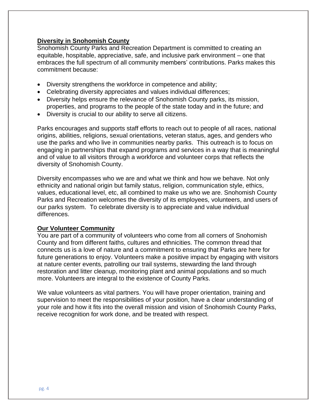#### **Diversity in Snohomish County**

Snohomish County Parks and Recreation Department is committed to creating an equitable, hospitable, appreciative, safe, and inclusive park environment – one that embraces the full spectrum of all community members' contributions. Parks makes this commitment because:

- Diversity strengthens the workforce in competence and ability;
- Celebrating diversity appreciates and values individual differences;
- Diversity helps ensure the relevance of Snohomish County parks, its mission, properties, and programs to the people of the state today and in the future; and
- Diversity is crucial to our ability to serve all citizens.

Parks encourages and supports staff efforts to reach out to people of all races, national origins, abilities, religions, sexual orientations, veteran status, ages, and genders who use the parks and who live in communities nearby parks. This outreach is to focus on engaging in partnerships that expand programs and services in a way that is meaningful and of value to all visitors through a workforce and volunteer corps that reflects the diversity of Snohomish County.

Diversity encompasses who we are and what we think and how we behave. Not only ethnicity and national origin but family status, religion, communication style, ethics, values, educational level, etc, all combined to make us who we are. Snohomish County Parks and Recreation welcomes the diversity of its employees, volunteers, and users of our parks system. To celebrate diversity is to appreciate and value individual differences.

#### **Our Volunteer Community**

You are part of a community of volunteers who come from all corners of Snohomish County and from different faiths, cultures and ethnicities. The common thread that connects us is a love of nature and a commitment to ensuring that Parks are here for future generations to enjoy. Volunteers make a positive impact by engaging with visitors at nature center events, patrolling our trail systems, stewarding the land through restoration and litter cleanup, monitoring plant and animal populations and so much more. Volunteers are integral to the existence of County Parks.

We value volunteers as vital partners. You will have proper orientation, training and supervision to meet the responsibilities of your position, have a clear understanding of your role and how it fits into the overall mission and vision of Snohomish County Parks, receive recognition for work done, and be treated with respect.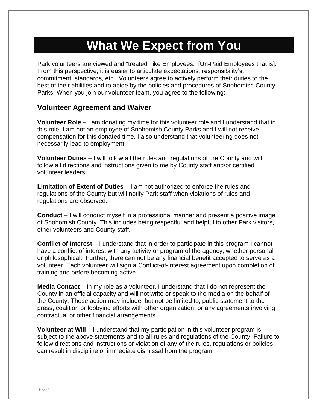## **What We Expect from You**

Park volunteers are viewed and "treated" like Employees. [Un-Paid Employees that is]. From this perspective, it is easier to articulate expectations, responsibility's, commitment, standards, etc. Volunteers agree to actively perform their duties to the best of their abilities and to abide by the policies and procedures of Snohomish County Parks. When you join our volunteer team, you agree to the following:

#### **Volunteer Agreement and Waiver**

**Volunteer Role** – I am donating my time for this volunteer role and I understand that in this role, I am not an employee of Snohomish County Parks and I will not receive compensation for this donated time. I also understand that volunteering does not necessarily lead to employment.

**Volunteer Duties** – I will follow all the rules and regulations of the County and will follow all directions and instructions given to me by County staff and/or certified volunteer leaders.

**Limitation of Extent of Duties** – I am not authorized to enforce the rules and regulations of the County but will notify Park staff when violations of rules and regulations are observed.

**Conduct** – I will conduct myself in a professional manner and present a positive image of Snohomish County. This includes being respectful and helpful to other Park visitors, other volunteers and County staff.

**Conflict of Interest** – I understand that in order to participate in this program I cannot have a conflict of interest with any activity or program of the agency, whether personal or philosophical. Further, there can not be any financial benefit accepted to serve as a volunteer. Each volunteer will sign a Conflict-of-Interest agreement upon completion of training and before becoming active.

**Media Contact** – In my role as a volunteer, I understand that I do not represent the County in an official capacity and will not write or speak to the media on the behalf of the County. These action may include; but not be limited to, public statement to the press, coalition or lobbying efforts with other organization, or any agreements involving contractual or other financial arrangements.

**Volunteer at Will** – I understand that my participation in this volunteer program is subject to the above statements and to all rules and regulations of the County. Failure to follow directions and instructions or violation of any of the rules, regulations or policies can result in discipline or immediate dismissal from the program.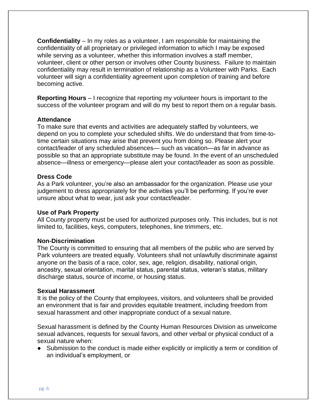**Confidentiality** – In my roles as a volunteer, I am responsible for maintaining the confidentiality of all proprietary or privileged information to which I may be exposed while serving as a volunteer, whether this information involves a staff member, volunteer, client or other person or involves other County business. Failure to maintain confidentiality may result in termination of relationship as a Volunteer with Parks. Each volunteer will sign a confidentiality agreement upon completion of training and before becoming active.

**Reporting Hours** – I recognize that reporting my volunteer hours is important to the success of the volunteer program and will do my best to report them on a regular basis.

#### **Attendance**

To make sure that events and activities are adequately staffed by volunteers, we depend on you to complete your scheduled shifts. We do understand that from time-totime certain situations may arise that prevent you from doing so. Please alert your contact/leader of any scheduled absences— such as vacation—as far in advance as possible so that an appropriate substitute may be found. In the event of an unscheduled absence—illness or emergency—please alert your contact/leader as soon as possible.

#### **Dress Code**

As a Park volunteer, you're also an ambassador for the organization. Please use your judgement to dress appropriately for the activities you'll be performing. If you're ever unsure about what to wear, just ask your contact/leader.

#### **Use of Park Property**

All County property must be used for authorized purposes only. This includes, but is not limited to, facilities, keys, computers, telephones, line trimmers, etc.

#### **Non-Discrimination**

The County is committed to ensuring that all members of the public who are served by Park volunteers are treated equally. Volunteers shall not unlawfully discriminate against anyone on the basis of a race, color, sex, age, religion, disability, national origin, ancestry, sexual orientation, marital status, parental status, veteran's status, military discharge status, source of income, or housing status.

#### **Sexual Harassment**

It is the policy of the County that employees, visitors, and volunteers shall be provided an environment that is fair and provides equitable treatment, including freedom from sexual harassment and other inappropriate conduct of a sexual nature.

Sexual harassment is defined by the County Human Resources Division as unwelcome sexual advances, requests for sexual favors, and other verbal or physical conduct of a sexual nature when:

Submission to the conduct is made either explicitly or implicitly a term or condition of an individual's employment, or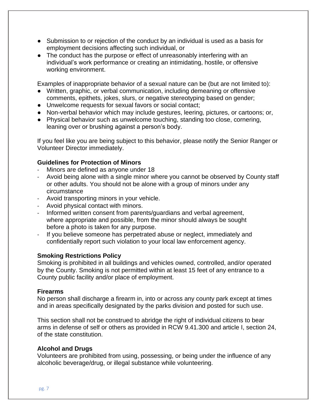- Submission to or rejection of the conduct by an individual is used as a basis for employment decisions affecting such individual, or
- The conduct has the purpose or effect of unreasonably interfering with an individual's work performance or creating an intimidating, hostile, or offensive working environment.

Examples of inappropriate behavior of a sexual nature can be (but are not limited to):

- Written, graphic, or verbal communication, including demeaning or offensive comments, epithets, jokes, slurs, or negative stereotyping based on gender;
- Unwelcome requests for sexual favors or social contact;
- Non-verbal behavior which may include gestures, leering, pictures, or cartoons; or,
- Physical behavior such as unwelcome touching, standing too close, cornering, leaning over or brushing against a person's body.

If you feel like you are being subject to this behavior, please notify the Senior Ranger or Volunteer Director immediately.

#### **Guidelines for Protection of Minors**

- Minors are defined as anyone under 18
- Avoid being alone with a single minor where you cannot be observed by County staff or other adults. You should not be alone with a group of minors under any circumstance
- Avoid transporting minors in your vehicle.
- Avoid physical contact with minors.
- Informed written consent from parents/guardians and verbal agreement, where appropriate and possible, from the minor should always be sought before a photo is taken for any purpose.
- If you believe someone has perpetrated abuse or neglect, immediately and confidentially report such violation to your local law enforcement agency.

#### **Smoking Restrictions Policy**

Smoking is prohibited in all buildings and vehicles owned, controlled, and/or operated by the County. Smoking is not permitted within at least 15 feet of any entrance to a County public facility and/or place of employment.

#### **Firearms**

No person shall discharge a firearm in, into or across any county park except at times and in areas specifically designated by the parks division and posted for such use.

This section shall not be construed to abridge the right of individual citizens to bear arms in defense of self or others as provided in RCW 9.41.300 and article I, section 24, of the state constitution.

#### **Alcohol and Drugs**

Volunteers are prohibited from using, possessing, or being under the influence of any alcoholic beverage/drug, or illegal substance while volunteering.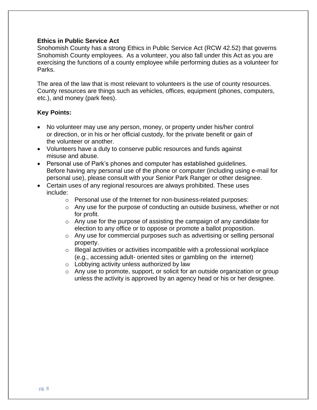#### **Ethics in Public Service Act**

Snohomish County has a strong Ethics in Public Service Act (RCW 42.52) that governs Snohomish County employees. As a volunteer, you also fall under this Act as you are exercising the functions of a county employee while performing duties as a volunteer for Parks.

The area of the law that is most relevant to volunteers is the use of county resources. County resources are things such as vehicles, offices, equipment (phones, computers, etc.), and money (park fees).

#### **Key Points:**

- No volunteer may use any person, money, or property under his/her control or direction, or in his or her official custody, for the private benefit or gain of the volunteer or another.
- Volunteers have a duty to conserve public resources and funds against misuse and abuse.
- Personal use of Park's phones and computer has established guidelines. Before having any personal use of the phone or computer (including using e-mail for personal use), please consult with your Senior Park Ranger or other designee.
- Certain uses of any regional resources are always prohibited. These uses include:
	- o Personal use of the Internet for non-business-related purposes:
	- $\circ$  Any use for the purpose of conducting an outside business, whether or not for profit.
	- o Any use for the purpose of assisting the campaign of any candidate for election to any office or to oppose or promote a ballot proposition.
	- o Any use for commercial purposes such as advertising or selling personal property.
	- $\circ$  Illegal activities or activities incompatible with a professional workplace (e.g., accessing adult- oriented sites or gambling on the internet)
	- o Lobbying activity unless authorized by law
	- o Any use to promote, support, or solicit for an outside organization or group unless the activity is approved by an agency head or his or her designee.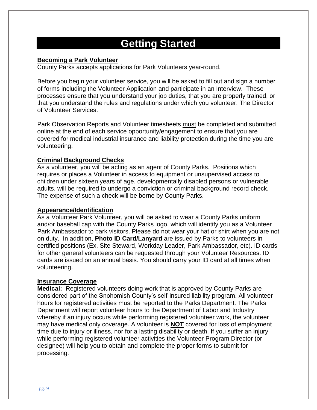### **Getting Started**

#### **Becoming a Park Volunteer**

County Parks accepts applications for Park Volunteers year-round.

Before you begin your volunteer service, you will be asked to fill out and sign a number of forms including the Volunteer Application and participate in an Interview. These processes ensure that you understand your job duties, that you are properly trained, or that you understand the rules and regulations under which you volunteer. The Director of Volunteer Services.

Park Observation Reports and Volunteer timesheets must be completed and submitted online at the end of each service opportunity/engagement to ensure that you are covered for medical industrial insurance and liability protection during the time you are volunteering.

#### **Criminal Background Checks**

As a volunteer, you will be acting as an agent of County Parks. Positions which requires or places a Volunteer in access to equipment or unsupervised access to children under sixteen years of age, developmentally disabled persons or vulnerable adults, will be required to undergo a conviction or criminal background record check. The expense of such a check will be borne by County Parks.

#### **Appearance/Identification**

As a Volunteer Park Volunteer, you will be asked to wear a County Parks uniform and/or baseball cap with the County Parks logo, which will identify you as a Volunteer Park Ambassador to park visitors. Please do not wear your hat or shirt when you are not on duty. In addition, **Photo ID Card/Lanyard** are issued by Parks to volunteers in certified positions (Ex. Site Steward, Workday Leader, Park Ambassador, etc). ID cards for other general volunteers can be requested through your Volunteer Resources. ID cards are issued on an annual basis. You should carry your ID card at all times when volunteering.

#### **Insurance Coverage**

**Medical:** Registered volunteers doing work that is approved by County Parks are considered part of the Snohomish County's self-insured liability program. All volunteer hours for registered activities must be reported to the Parks Department. The Parks Department will report volunteer hours to the Department of Labor and Industry whereby if an injury occurs while performing registered volunteer work, the volunteer may have medical only coverage. A volunteer is **NOT** covered for loss of employment time due to injury or illness, nor for a lasting disability or death. If you suffer an injury while performing registered volunteer activities the Volunteer Program Director (or designee) will help you to obtain and complete the proper forms to submit for processing.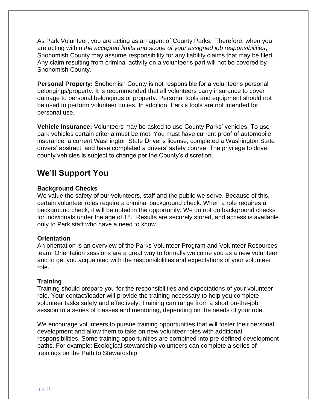As Park Volunteer, you are acting as an agent of County Parks. Therefore, when you are acting within *the accepted limits and scope of your assigned job responsibilities*, Snohomish County may assume responsibility for any liability claims that may be filed. Any claim resulting from criminal activity on a volunteer's part will not be covered by Snohomish County.

**Personal Property:** Snohomish County is not responsible for a volunteer's personal belongings/property. It is recommended that all volunteers carry insurance to cover damage to personal belongings or property. Personal tools and equipment should not be used to perform volunteer duties. In addition, Park's tools are not intended for personal use.

**Vehicle Insurance:** Volunteers may be asked to use County Parks' vehicles. To use park vehicles certain criteria must be met. You must have current proof of automobile insurance, a current Washington State Driver's license, completed a Washington State drivers' abstract, and have completed a drivers' safety course. The privilege to drive county vehicles is subject to change per the County's discretion.

### **We'll Support You**

#### **Background Checks**

We value the safety of our volunteers, staff and the public we serve. Because of this, certain volunteer roles require a criminal background check. When a role requires a background check, it will be noted in the opportunity. We do not do background checks for individuals under the age of 18. Results are securely stored, and access is available only to Park staff who have a need to know.

#### **Orientation**

An orientation is an overview of the Parks Volunteer Program and Volunteer Resources team. Orientation sessions are a great way to formally welcome you as a new volunteer and to get you acquainted with the responsibilities and expectations of your volunteer role.

#### **Training**

Training should prepare you for the responsibilities and expectations of your volunteer role. Your contact/leader will provide the training necessary to help you complete volunteer tasks safely and effectively. Training can range from a short on-the-job session to a series of classes and mentoring, depending on the needs of your role.

We encourage volunteers to pursue training opportunities that will foster their personal development and allow them to take on new volunteer roles with additional responsibilities. Some training opportunities are combined into pre-defined development paths. For example: Ecological stewardship volunteers can complete a series of trainings on the Path to Stewardship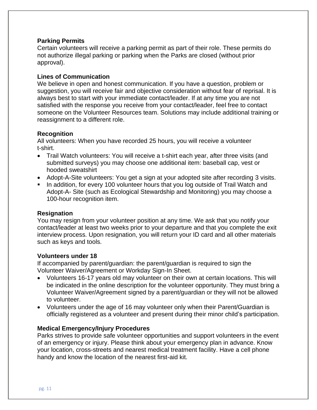#### **Parking Permits**

Certain volunteers will receive a parking permit as part of their role. These permits do not authorize illegal parking or parking when the Parks are closed (without prior approval).

#### **Lines of Communication**

We believe in open and honest communication. If you have a question, problem or suggestion, you will receive fair and objective consideration without fear of reprisal. It is always best to start with your immediate contact/leader. If at any time you are not satisfied with the response you receive from your contact/leader, feel free to contact someone on the Volunteer Resources team. Solutions may include additional training or reassignment to a different role.

#### **Recognition**

All volunteers: When you have recorded 25 hours, you will receive a volunteer t-shirt.

- Trail Watch volunteers: You will receive a t-shirt each year, after three visits (and submitted surveys) you may choose one additional item: baseball cap, vest or hooded sweatshirt
- Adopt-A-Site volunteers: You get a sign at your adopted site after recording 3 visits.
- In addition, for every 100 volunteer hours that you log outside of Trail Watch and Adopt-A- Site (such as Ecological Stewardship and Monitoring) you may choose a 100-hour recognition item.

#### **Resignation**

You may resign from your volunteer position at any time. We ask that you notify your contact/leader at least two weeks prior to your departure and that you complete the exit interview process. Upon resignation, you will return your ID card and all other materials such as keys and tools.

#### **Volunteers under 18**

If accompanied by parent/guardian: the parent/guardian is required to sign the Volunteer Waiver/Agreement or Workday Sign-In Sheet.

- Volunteers 16-17 years old may volunteer on their own at certain locations. This will be indicated in the online description for the volunteer opportunity. They must bring a Volunteer Waiver/Agreement signed by a parent/guardian or they will not be allowed to volunteer.
- Volunteers under the age of 16 may volunteer only when their Parent/Guardian is officially registered as a volunteer and present during their minor child's participation.

#### **Medical Emergency/Injury Procedures**

Parks strives to provide safe volunteer opportunities and support volunteers in the event of an emergency or injury. Please think about your emergency plan in advance. Know your location, cross-streets and nearest medical treatment facility. Have a cell phone handy and know the location of the nearest first-aid kit.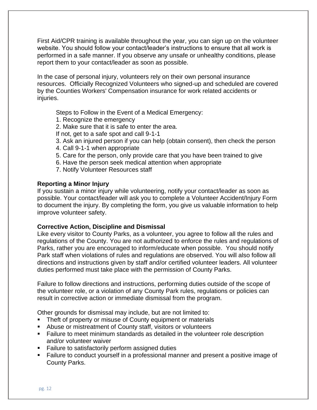First Aid/CPR training is available throughout the year, you can sign up on the volunteer website. You should follow your contact/leader's instructions to ensure that all work is performed in a safe manner. If you observe any unsafe or unhealthy conditions, please report them to your contact/leader as soon as possible.

In the case of personal injury, volunteers rely on their own personal insurance resources. Officially Recognized Volunteers who signed-up and scheduled are covered by the Counties Workers' Compensation insurance for work related accidents or injuries.

Steps to Follow in the Event of a Medical Emergency:

- 1. Recognize the emergency
- 2. Make sure that it is safe to enter the area.
- If not, get to a safe spot and call 9-1-1
- 3. Ask an injured person if you can help (obtain consent), then check the person
- 4. Call 9-1-1 when appropriate
- 5. Care for the person, only provide care that you have been trained to give
- 6. Have the person seek medical attention when appropriate
- 7. Notify Volunteer Resources staff

#### **Reporting a Minor Injury**

If you sustain a minor injury while volunteering, notify your contact/leader as soon as possible. Your contact/leader will ask you to complete a Volunteer Accident/Injury Form to document the injury. By completing the form, you give us valuable information to help improve volunteer safety.

#### **Corrective Action, Discipline and Dismissal**

Like every visitor to County Parks, as a volunteer, you agree to follow all the rules and regulations of the County. You are not authorized to enforce the rules and regulations of Parks, rather you are encouraged to inform/educate when possible. You should notify Park staff when violations of rules and regulations are observed. You will also follow all directions and instructions given by staff and/or certified volunteer leaders. All volunteer duties performed must take place with the permission of County Parks.

Failure to follow directions and instructions, performing duties outside of the scope of the volunteer role, or a violation of any County Park rules, regulations or policies can result in corrective action or immediate dismissal from the program.

Other grounds for dismissal may include, but are not limited to:

- Theft of property or misuse of County equipment or materials
- Abuse or mistreatment of County staff, visitors or volunteers
- Failure to meet minimum standards as detailed in the volunteer role description and/or volunteer waiver
- Failure to satisfactorily perform assigned duties
- Failure to conduct yourself in a professional manner and present a positive image of County Parks.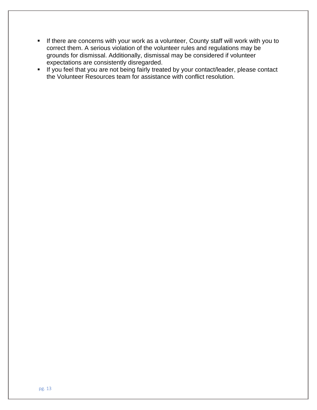- **E** If there are concerns with your work as a volunteer, County staff will work with you to correct them. A serious violation of the volunteer rules and regulations may be grounds for dismissal. Additionally, dismissal may be considered if volunteer expectations are consistently disregarded.
- If you feel that you are not being fairly treated by your contact/leader, please contact the Volunteer Resources team for assistance with conflict resolution.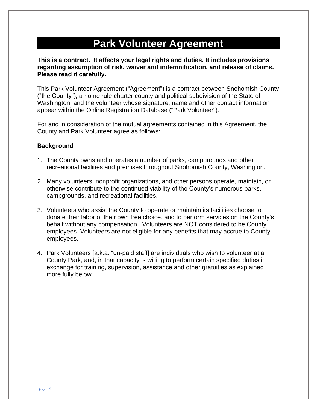### **Park Volunteer Agreement**

**This is a contract. It affects your legal rights and duties. It includes provisions regarding assumption of risk, waiver and indemnification, and release of claims. Please read it carefully.**

This Park Volunteer Agreement ("Agreement") is a contract between Snohomish County ("the County"), a home rule charter county and political subdivision of the State of Washington, and the volunteer whose signature, name and other contact information appear within the Online Registration Database ("Park Volunteer").

For and in consideration of the mutual agreements contained in this Agreement, the County and Park Volunteer agree as follows:

#### **Background**

- 1. The County owns and operates a number of parks, campgrounds and other recreational facilities and premises throughout Snohomish County, Washington.
- 2. Many volunteers, nonprofit organizations, and other persons operate, maintain, or otherwise contribute to the continued viability of the County's numerous parks, campgrounds, and recreational facilities.
- 3. Volunteers who assist the County to operate or maintain its facilities choose to donate their labor of their own free choice, and to perform services on the County's behalf without any compensation. Volunteers are NOT considered to be County employees. Volunteers are not eligible for any benefits that may accrue to County employees.
- 4. Park Volunteers [a.k.a. "un-paid staff] are individuals who wish to volunteer at a County Park, and, in that capacity is willing to perform certain specified duties in exchange for training, supervision, assistance and other gratuities as explained more fully below.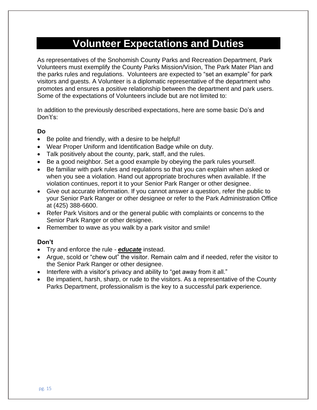### **Volunteer Expectations and Duties**

As representatives of the Snohomish County Parks and Recreation Department, Park Volunteers must exemplify the County Parks Mission/Vision, The Park Mater Plan and the parks rules and regulations. Volunteers are expected to "set an example" for park visitors and guests. A Volunteer is a diplomatic representative of the department who promotes and ensures a positive relationship between the department and park users. Some of the expectations of Volunteers include but are not limited to:

In addition to the previously described expectations, here are some basic Do's and Don't's:

#### **Do**

- Be polite and friendly, with a desire to be helpful!
- Wear Proper Uniform and Identification Badge while on duty.
- Talk positively about the county, park, staff, and the rules.
- Be a good neighbor. Set a good example by obeying the park rules yourself.
- Be familiar with park rules and regulations so that you can explain when asked or when you see a violation. Hand out appropriate brochures when available. If the violation continues, report it to your Senior Park Ranger or other designee.
- Give out accurate information. If you cannot answer a question, refer the public to your Senior Park Ranger or other designee or refer to the Park Administration Office at (425) 388-6600.
- Refer Park Visitors and or the general public with complaints or concerns to the Senior Park Ranger or other designee.
- Remember to wave as you walk by a park visitor and smile!

#### **Don't**

- Try and enforce the rule *educate* instead.
- Argue, scold or "chew out" the visitor. Remain calm and if needed, refer the visitor to the Senior Park Ranger or other designee.
- Interfere with a visitor's privacy and ability to "get away from it all."
- Be impatient, harsh, sharp, or rude to the visitors. As a representative of the County Parks Department, professionalism is the key to a successful park experience.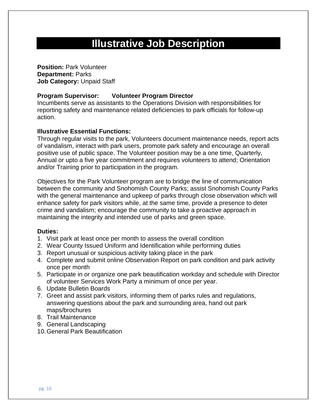### **Illustrative Job Description**

**Position: Park Volunteer Department:** Parks **Job Category:** Unpaid Staff

#### **Program Supervisor: Volunteer Program Director**

Incumbents serve as assistants to the Operations Division with responsibilities for reporting safety and maintenance related deficiencies to park officials for follow-up action.

#### **Illustrative Essential Functions:**

Through regular visits to the park, Volunteers document maintenance needs, report acts of vandalism, interact with park users, promote park safety and encourage an overall positive use of public space. The Volunteer position may be a one time, Quarterly, Annual or upto a five year commitment and requires volunteers to attend; Orientation and/or Training prior to participation in the program.

Objectives for the Park Volunteer program are to bridge the line of communication between the community and Snohomish County Parks; assist Snohomish County Parks with the general maintenance and upkeep of parks through close observation which will enhance safety for park visitors while, at the same time, provide a presence to deter crime and vandalism; encourage the community to take a proactive approach in maintaining the integrity and intended use of parks and green space.

#### **Duties:**

- 1. Visit park at least once per month to assess the overall condition
- 2. Wear County Issued Uniform and Identification while performing duties
- 3. Report unusual or suspicious activity taking place in the park
- 4. Complete and submit online Observation Report on park condition and park activity once per month
- 5. Participate in or organize one park beautification workday and schedule with Director of volunteer Services Work Party a minimum of once per year.
- 6. Update Bulletin Boards
- 7. Greet and assist park visitors, informing them of parks rules and regulations, answering questions about the park and surrounding area, hand out park maps/brochures
- 8. Trail Maintenance
- 9. General Landscaping
- 10.General Park Beautification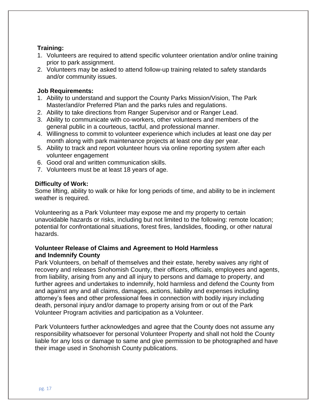#### **Training:**

- 1. Volunteers are required to attend specific volunteer orientation and/or online training prior to park assignment.
- 2. Volunteers may be asked to attend follow-up training related to safety standards and/or community issues.

#### **Job Requirements:**

- 1. Ability to understand and support the County Parks Mission/Vision, The Park Master/and/or Preferred Plan and the parks rules and regulations.
- 2. Ability to take directions from Ranger Supervisor and or Ranger Lead.
- 3. Ability to communicate with co-workers, other volunteers and members of the general public in a courteous, tactful, and professional manner.
- 4. Willingness to commit to volunteer experience which includes at least one day per month along with park maintenance projects at least one day per year.
- 5. Ability to track and report volunteer hours via online reporting system after each volunteer engagement
- 6. Good oral and written communication skills.
- 7. Volunteers must be at least 18 years of age.

#### **Difficulty of Work:**

Some lifting, ability to walk or hike for long periods of time, and ability to be in inclement weather is required.

Volunteering as a Park Volunteer may expose me and my property to certain unavoidable hazards or risks, including but not limited to the following: remote location; potential for confrontational situations, forest fires, landslides, flooding, or other natural hazards.

#### **Volunteer Release of Claims and Agreement to Hold Harmless and Indemnify County**

Park Volunteers, on behalf of themselves and their estate, hereby waives any right of recovery and releases Snohomish County, their officers, officials, employees and agents, from liability, arising from any and all injury to persons and damage to property, and further agrees and undertakes to indemnify, hold harmless and defend the County from and against any and all claims, damages, actions, liability and expenses including attorney's fees and other professional fees in connection with bodily injury including death, personal injury and/or damage to property arising from or out of the Park Volunteer Program activities and participation as a Volunteer.

Park Volunteers further acknowledges and agree that the County does not assume any responsibility whatsoever for personal Volunteer Property and shall not hold the County liable for any loss or damage to same and give permission to be photographed and have their image used in Snohomish County publications.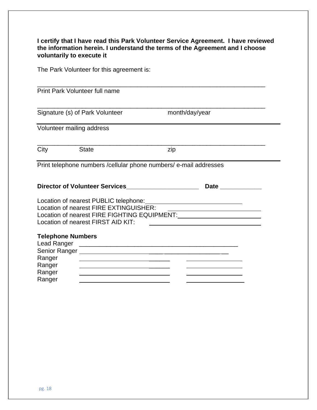#### **I certify that I have read this Park Volunteer Service Agreement. I have reviewed the information herein. I understand the terms of the Agreement and I choose voluntarily to execute it**

The Park Volunteer for this agreement is:

| <b>Print Park Volunteer full name</b>                                           |                                                                                                                                                                                                                                                                                                   |                                                                                                                       |  |
|---------------------------------------------------------------------------------|---------------------------------------------------------------------------------------------------------------------------------------------------------------------------------------------------------------------------------------------------------------------------------------------------|-----------------------------------------------------------------------------------------------------------------------|--|
|                                                                                 | Signature (s) of Park Volunteer                                                                                                                                                                                                                                                                   | month/day/year                                                                                                        |  |
| Volunteer mailing address                                                       |                                                                                                                                                                                                                                                                                                   |                                                                                                                       |  |
| City                                                                            | <b>State</b>                                                                                                                                                                                                                                                                                      | zip                                                                                                                   |  |
|                                                                                 |                                                                                                                                                                                                                                                                                                   | Print telephone numbers / cellular phone numbers/ e-mail addresses                                                    |  |
|                                                                                 | Director of Volunteer Services                                                                                                                                                                                                                                                                    |                                                                                                                       |  |
|                                                                                 | Location of nearest FIRE EXTINGUISHER:<br>Location of nearest FIRST AID KIT:                                                                                                                                                                                                                      | <u> 1989 - Johann Harry Barn, mars ar breist fan de Fryske kommunent fan de Fryske kommunent fan de Fryske kommun</u> |  |
| <b>Telephone Numbers</b><br>Lead Ranger<br>Ranger<br>Ranger<br>Ranger<br>Ranger | the contract of the contract of the contract of the contract of the contract of the contract of the contract of<br>the contract of the contract of the contract of the contract of the contract of the contract of the contract of<br><u> 1989 - Johann Barbara, martxa al III-lea (h. 1989).</u> |                                                                                                                       |  |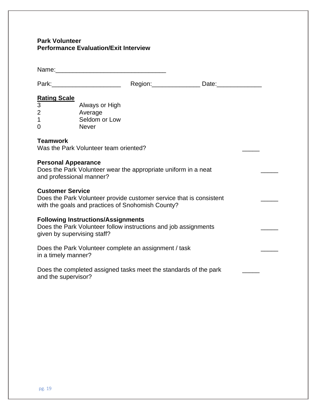#### **Park Volunteer Performance Evaluation/Exit Interview**

|                                                                   | Name: <u>Name:</u> Name: Name: Name: Name: Name: Name: Name: Name: Name: Name: Name: Name: Name: Name: Name: Name: Name: Name: Name: Name: Name: Name: Name: Name: Name: Name: Name: Name: Name: Name: Name: Name: Name: Name: Name |                                                                                                                          |  |
|-------------------------------------------------------------------|-------------------------------------------------------------------------------------------------------------------------------------------------------------------------------------------------------------------------------------|--------------------------------------------------------------------------------------------------------------------------|--|
|                                                                   |                                                                                                                                                                                                                                     |                                                                                                                          |  |
| <b>Rating Scale</b><br>$\overline{3}$<br>$\overline{2}$<br>1<br>0 | Always or High<br>Average<br>Seldom or Low<br><b>Never</b>                                                                                                                                                                          |                                                                                                                          |  |
| <b>Teamwork</b>                                                   | Was the Park Volunteer team oriented?                                                                                                                                                                                               |                                                                                                                          |  |
| <b>Personal Appearance</b><br>and professional manner?            |                                                                                                                                                                                                                                     | Does the Park Volunteer wear the appropriate uniform in a neat                                                           |  |
| <b>Customer Service</b>                                           |                                                                                                                                                                                                                                     | Does the Park Volunteer provide customer service that is consistent<br>with the goals and practices of Snohomish County? |  |
| given by supervising staff?                                       | <b>Following Instructions/Assignments</b>                                                                                                                                                                                           | Does the Park Volunteer follow instructions and job assignments                                                          |  |
| in a timely manner?                                               |                                                                                                                                                                                                                                     | Does the Park Volunteer complete an assignment / task                                                                    |  |
| and the supervisor?                                               |                                                                                                                                                                                                                                     | Does the completed assigned tasks meet the standards of the park                                                         |  |